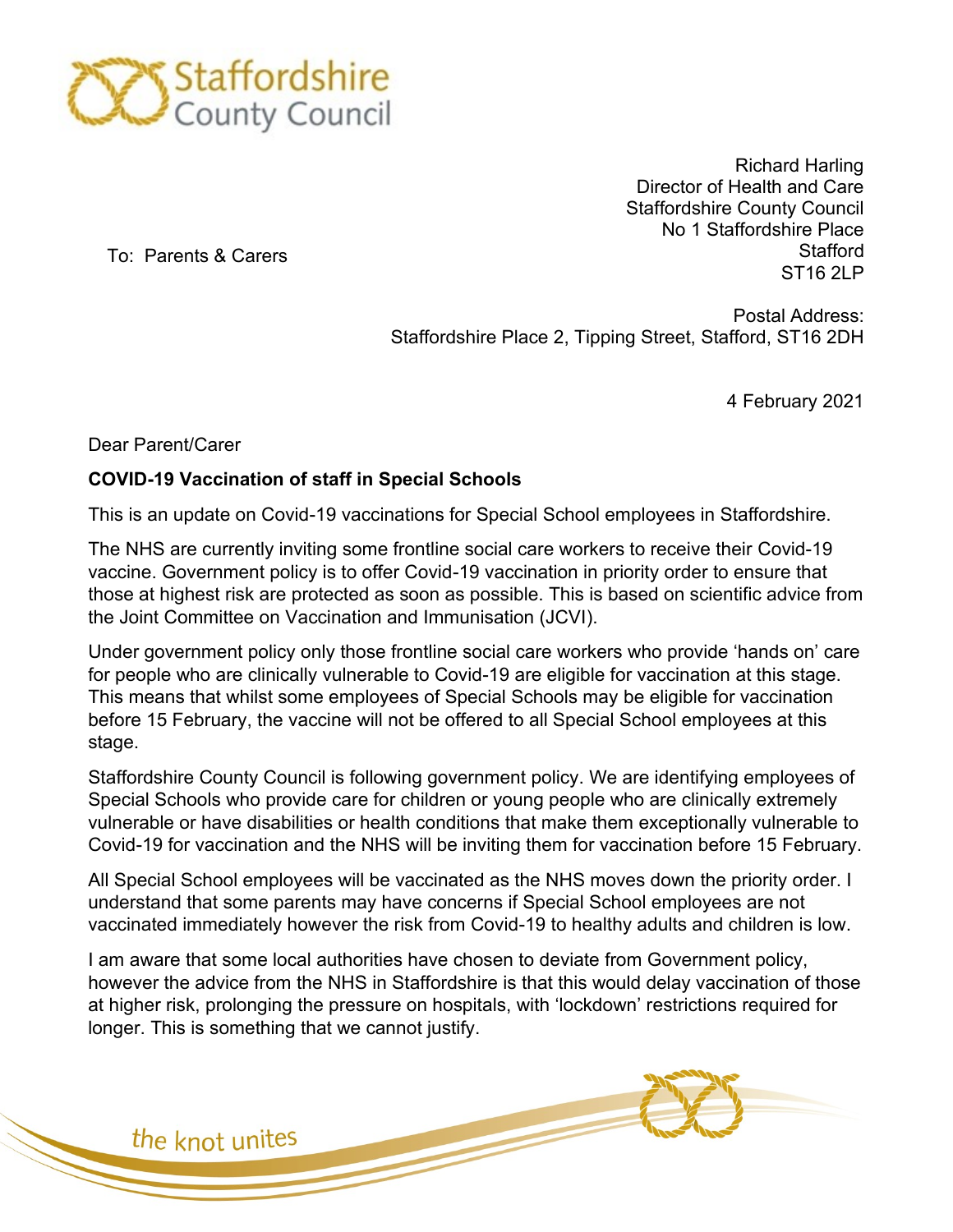

Richard Harling Director of Health and Care Staffordshire County Council No 1 Staffordshire Place **Stafford ST<sub>16</sub>** 2LP

To: Parents & Carers

Postal Address: Staffordshire Place 2, Tipping Street, Stafford, ST16 2DH

4 February 2021

Dear Parent/Carer

## **COVID-19 Vaccination of staff in Special Schools**

This is an update on Covid-19 vaccinations for Special School employees in Staffordshire.

The NHS are currently inviting some frontline social care workers to receive their Covid-19 vaccine. Government policy is to offer Covid-19 vaccination in priority order to ensure that those at highest risk are protected as soon as possible. This is based on scientific advice from the Joint Committee on Vaccination and Immunisation (JCVI).

Under government policy only those frontline social care workers who provide 'hands on' care for people who are clinically vulnerable to Covid-19 are eligible for vaccination at this stage. This means that whilst some employees of Special Schools may be eligible for vaccination before 15 February, the vaccine will not be offered to all Special School employees at this stage.

Staffordshire County Council is following government policy. We are identifying employees of Special Schools who provide care for children or young people who are clinically extremely vulnerable or have disabilities or health conditions that make them exceptionally vulnerable to Covid-19 for vaccination and the NHS will be inviting them for vaccination before 15 February.

All Special School employees will be vaccinated as the NHS moves down the priority order. I understand that some parents may have concerns if Special School employees are not vaccinated immediately however the risk from Covid-19 to healthy adults and children is low.

I am aware that some local authorities have chosen to deviate from Government policy, however the advice from the NHS in Staffordshire is that this would delay vaccination of those at higher risk, prolonging the pressure on hospitals, with 'lockdown' restrictions required for longer. This is something that we cannot justify.

the knot unites